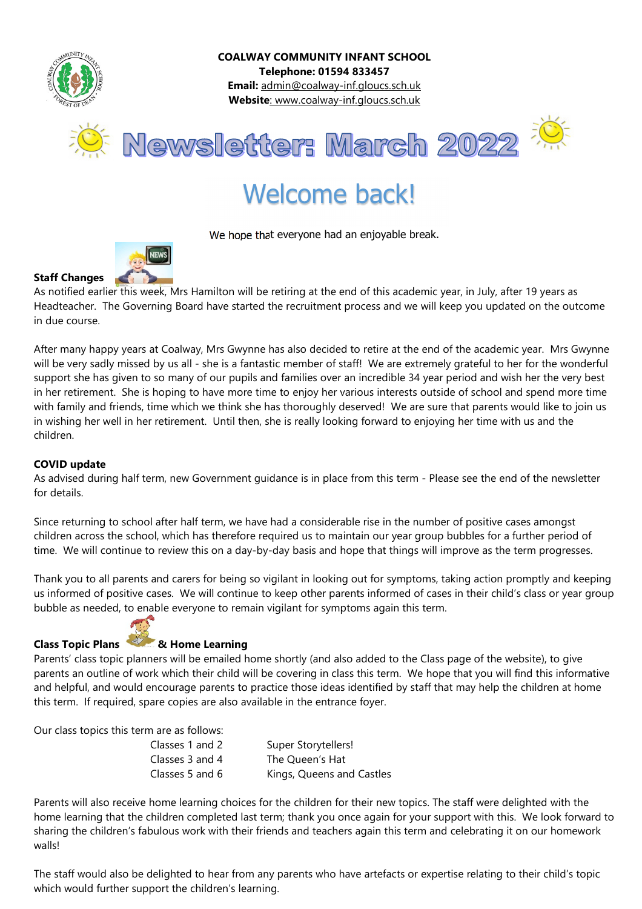

COALWAY COMMUNITY INFANT SCHOOL Telephone: 01594 833457 Email: admin@coalway-inf.gloucs.sch.uk Website: www.coalway-inf.gloucs.sch.uk

Newsletter: March 2022



# Welcome back!

We hope that everyone had an enjoyable break.



As notified earlier this week, Mrs Hamilton will be retiring at the end of this academic year, in July, after 19 years as Headteacher. The Governing Board have started the recruitment process and we will keep you updated on the outcome in due course.

After many happy years at Coalway, Mrs Gwynne has also decided to retire at the end of the academic year. Mrs Gwynne will be very sadly missed by us all - she is a fantastic member of staff! We are extremely grateful to her for the wonderful support she has given to so many of our pupils and families over an incredible 34 year period and wish her the very best in her retirement. She is hoping to have more time to enjoy her various interests outside of school and spend more time with family and friends, time which we think she has thoroughly deserved! We are sure that parents would like to join us in wishing her well in her retirement. Until then, she is really looking forward to enjoying her time with us and the children.

## COVID update

As advised during half term, new Government guidance is in place from this term - Please see the end of the newsletter for details.

Since returning to school after half term, we have had a considerable rise in the number of positive cases amongst children across the school, which has therefore required us to maintain our year group bubbles for a further period of time. We will continue to review this on a day-by-day basis and hope that things will improve as the term progresses.

Thank you to all parents and carers for being so vigilant in looking out for symptoms, taking action promptly and keeping us informed of positive cases. We will continue to keep other parents informed of cases in their child's class or year group bubble as needed, to enable everyone to remain vigilant for symptoms again this term.



# Class Topic Plans & Home Learning

Parents' class topic planners will be emailed home shortly (and also added to the Class page of the website), to give parents an outline of work which their child will be covering in class this term. We hope that you will find this informative and helpful, and would encourage parents to practice those ideas identified by staff that may help the children at home this term. If required, spare copies are also available in the entrance foyer.

Our class topics this term are as follows:

| Classes 1 and 2 | Super Storytellers!       |
|-----------------|---------------------------|
| Classes 3 and 4 | The Queen's Hat           |
| Classes 5 and 6 | Kings, Queens and Castles |

Parents will also receive home learning choices for the children for their new topics. The staff were delighted with the home learning that the children completed last term; thank you once again for your support with this. We look forward to sharing the children's fabulous work with their friends and teachers again this term and celebrating it on our homework walls!

The staff would also be delighted to hear from any parents who have artefacts or expertise relating to their child's topic which would further support the children's learning.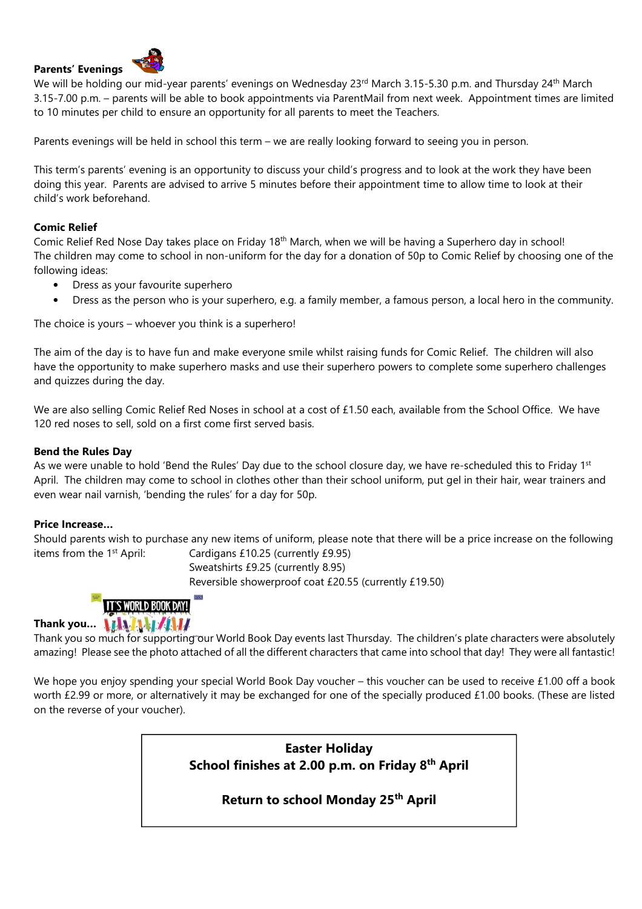#### Parents' Evenings



We will be holding our mid-year parents' evenings on Wednesday 23rd March 3.15-5.30 p.m. and Thursday 24<sup>th</sup> March 3.15-7.00 p.m. – parents will be able to book appointments via ParentMail from next week. Appointment times are limited to 10 minutes per child to ensure an opportunity for all parents to meet the Teachers.

Parents evenings will be held in school this term – we are really looking forward to seeing you in person.

This term's parents' evening is an opportunity to discuss your child's progress and to look at the work they have been doing this year. Parents are advised to arrive 5 minutes before their appointment time to allow time to look at their child's work beforehand.

#### Comic Relief

Comic Relief Red Nose Day takes place on Friday 18<sup>th</sup> March, when we will be having a Superhero day in school! The children may come to school in non-uniform for the day for a donation of 50p to Comic Relief by choosing one of the following ideas:

- Dress as your favourite superhero
- Dress as the person who is your superhero, e.g. a family member, a famous person, a local hero in the community.

The choice is yours – whoever you think is a superhero!

The aim of the day is to have fun and make everyone smile whilst raising funds for Comic Relief. The children will also have the opportunity to make superhero masks and use their superhero powers to complete some superhero challenges and quizzes during the day.

We are also selling Comic Relief Red Noses in school at a cost of £1.50 each, available from the School Office. We have 120 red noses to sell, sold on a first come first served basis.

#### Bend the Rules Day

As we were unable to hold 'Bend the Rules' Day due to the school closure day, we have re-scheduled this to Friday 1st April. The children may come to school in clothes other than their school uniform, put gel in their hair, wear trainers and even wear nail varnish, 'bending the rules' for a day for 50p.

#### Price Increase…

Should parents wish to purchase any new items of uniform, please note that there will be a price increase on the following items from the 1st April: Cardigans £10.25 (currently £9.95)

Sweatshirts £9.25 (currently 8.95) Reversible showerproof coat £20.55 (currently £19.50)



# Thank you... **ITALATIN**

Thank you so much for supporting our World Book Day events last Thursday. The children's plate characters were absolutely amazing! Please see the photo attached of all the different characters that came into school that day! They were all fantastic!

We hope you enjoy spending your special World Book Day voucher – this voucher can be used to receive £1.00 off a book worth £2.99 or more, or alternatively it may be exchanged for one of the specially produced £1.00 books. (These are listed on the reverse of your voucher).

> Easter Holiday School finishes at 2.00 p.m. on Friday 8<sup>th</sup> April

> > Return to school Monday 25th April